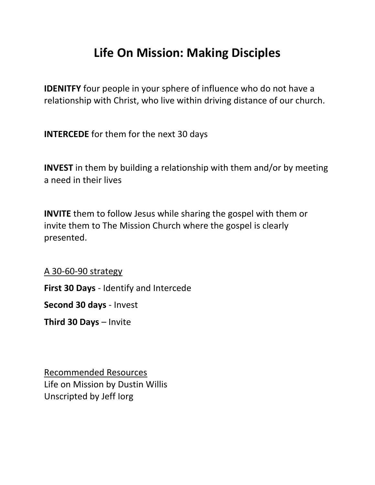## **Life On Mission: Making Disciples**

**IDENITFY** four people in your sphere of influence who do not have a relationship with Christ, who live within driving distance of our church.

**INTERCEDE** for them for the next 30 days

**INVEST** in them by building a relationship with them and/or by meeting a need in their lives

**INVITE** them to follow Jesus while sharing the gospel with them or invite them to The Mission Church where the gospel is clearly presented.

A 30-60-90 strategy

**First 30 Days** - Identify and Intercede

**Second 30 days** - Invest

**Third 30 Days** – Invite

Recommended Resources Life on Mission by Dustin Willis Unscripted by Jeff Iorg